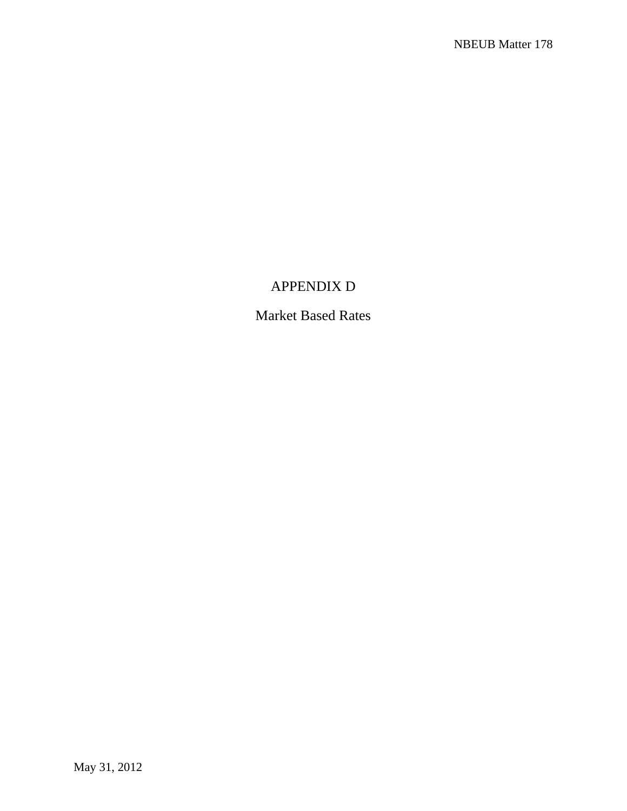## APPENDIX D

Market Based Rates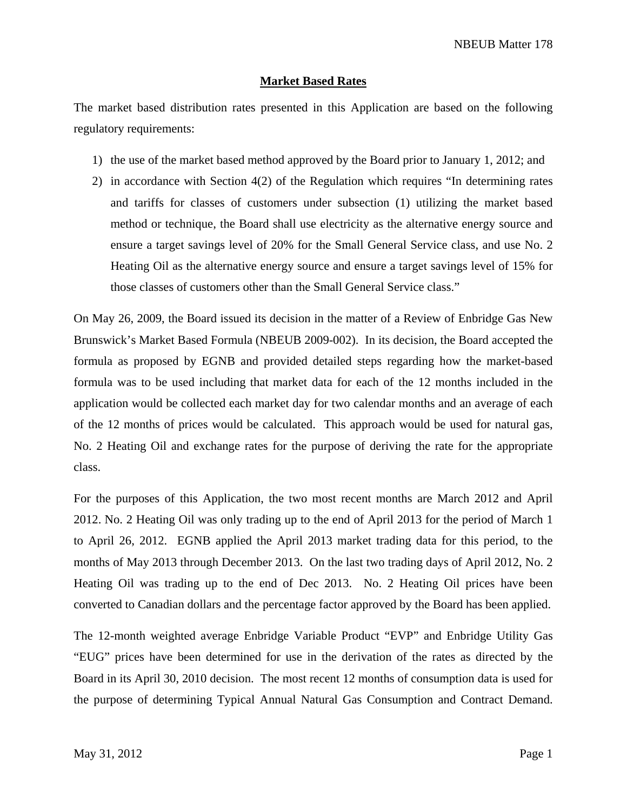## **Market Based Rates**

The market based distribution rates presented in this Application are based on the following regulatory requirements:

- 1) the use of the market based method approved by the Board prior to January 1, 2012; and
- 2) in accordance with Section 4(2) of the Regulation which requires "In determining rates and tariffs for classes of customers under subsection (1) utilizing the market based method or technique, the Board shall use electricity as the alternative energy source and ensure a target savings level of 20% for the Small General Service class, and use No. 2 Heating Oil as the alternative energy source and ensure a target savings level of 15% for those classes of customers other than the Small General Service class."

On May 26, 2009, the Board issued its decision in the matter of a Review of Enbridge Gas New Brunswick's Market Based Formula (NBEUB 2009-002). In its decision, the Board accepted the formula as proposed by EGNB and provided detailed steps regarding how the market-based formula was to be used including that market data for each of the 12 months included in the application would be collected each market day for two calendar months and an average of each of the 12 months of prices would be calculated. This approach would be used for natural gas, No. 2 Heating Oil and exchange rates for the purpose of deriving the rate for the appropriate class.

For the purposes of this Application, the two most recent months are March 2012 and April 2012. No. 2 Heating Oil was only trading up to the end of April 2013 for the period of March 1 to April 26, 2012. EGNB applied the April 2013 market trading data for this period, to the months of May 2013 through December 2013. On the last two trading days of April 2012, No. 2 Heating Oil was trading up to the end of Dec 2013. No. 2 Heating Oil prices have been converted to Canadian dollars and the percentage factor approved by the Board has been applied.

The 12-month weighted average Enbridge Variable Product "EVP" and Enbridge Utility Gas "EUG" prices have been determined for use in the derivation of the rates as directed by the Board in its April 30, 2010 decision. The most recent 12 months of consumption data is used for the purpose of determining Typical Annual Natural Gas Consumption and Contract Demand.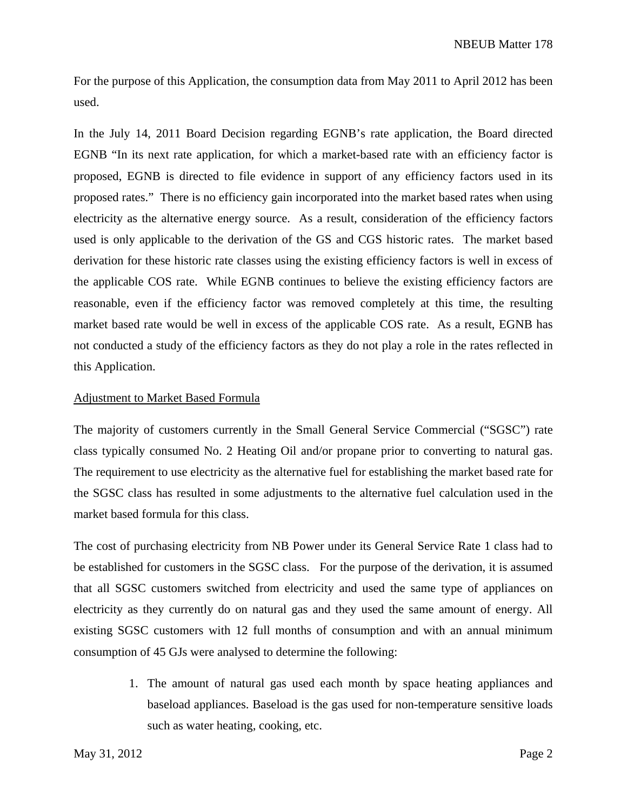For the purpose of this Application, the consumption data from May 2011 to April 2012 has been used.

In the July 14, 2011 Board Decision regarding EGNB's rate application, the Board directed EGNB "In its next rate application, for which a market-based rate with an efficiency factor is proposed, EGNB is directed to file evidence in support of any efficiency factors used in its proposed rates." There is no efficiency gain incorporated into the market based rates when using electricity as the alternative energy source. As a result, consideration of the efficiency factors used is only applicable to the derivation of the GS and CGS historic rates. The market based derivation for these historic rate classes using the existing efficiency factors is well in excess of the applicable COS rate. While EGNB continues to believe the existing efficiency factors are reasonable, even if the efficiency factor was removed completely at this time, the resulting market based rate would be well in excess of the applicable COS rate. As a result, EGNB has not conducted a study of the efficiency factors as they do not play a role in the rates reflected in this Application.

## Adjustment to Market Based Formula

The majority of customers currently in the Small General Service Commercial ("SGSC") rate class typically consumed No. 2 Heating Oil and/or propane prior to converting to natural gas. The requirement to use electricity as the alternative fuel for establishing the market based rate for the SGSC class has resulted in some adjustments to the alternative fuel calculation used in the market based formula for this class.

The cost of purchasing electricity from NB Power under its General Service Rate 1 class had to be established for customers in the SGSC class. For the purpose of the derivation, it is assumed that all SGSC customers switched from electricity and used the same type of appliances on electricity as they currently do on natural gas and they used the same amount of energy. All existing SGSC customers with 12 full months of consumption and with an annual minimum consumption of 45 GJs were analysed to determine the following:

> 1. The amount of natural gas used each month by space heating appliances and baseload appliances. Baseload is the gas used for non-temperature sensitive loads such as water heating, cooking, etc.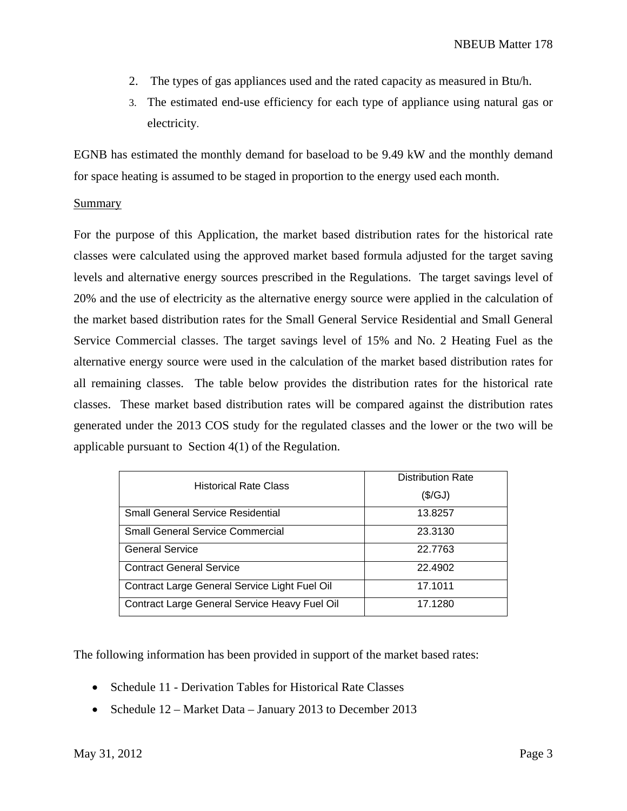- 2. The types of gas appliances used and the rated capacity as measured in Btu/h.
- 3. The estimated end-use efficiency for each type of appliance using natural gas or electricity.

EGNB has estimated the monthly demand for baseload to be 9.49 kW and the monthly demand for space heating is assumed to be staged in proportion to the energy used each month.

## Summary

For the purpose of this Application, the market based distribution rates for the historical rate classes were calculated using the approved market based formula adjusted for the target saving levels and alternative energy sources prescribed in the Regulations. The target savings level of 20% and the use of electricity as the alternative energy source were applied in the calculation of the market based distribution rates for the Small General Service Residential and Small General Service Commercial classes. The target savings level of 15% and No. 2 Heating Fuel as the alternative energy source were used in the calculation of the market based distribution rates for all remaining classes. The table below provides the distribution rates for the historical rate classes. These market based distribution rates will be compared against the distribution rates generated under the 2013 COS study for the regulated classes and the lower or the two will be applicable pursuant to Section 4(1) of the Regulation.

| <b>Historical Rate Class</b>                  | <b>Distribution Rate</b> |
|-----------------------------------------------|--------------------------|
|                                               | (\$/GJ)                  |
| <b>Small General Service Residential</b>      | 13.8257                  |
| <b>Small General Service Commercial</b>       | 23.3130                  |
| <b>General Service</b>                        | 22.7763                  |
| <b>Contract General Service</b>               | 22.4902                  |
| Contract Large General Service Light Fuel Oil | 17.1011                  |
| Contract Large General Service Heavy Fuel Oil | 17.1280                  |

The following information has been provided in support of the market based rates:

- Schedule 11 Derivation Tables for Historical Rate Classes
- Schedule 12 Market Data January 2013 to December 2013